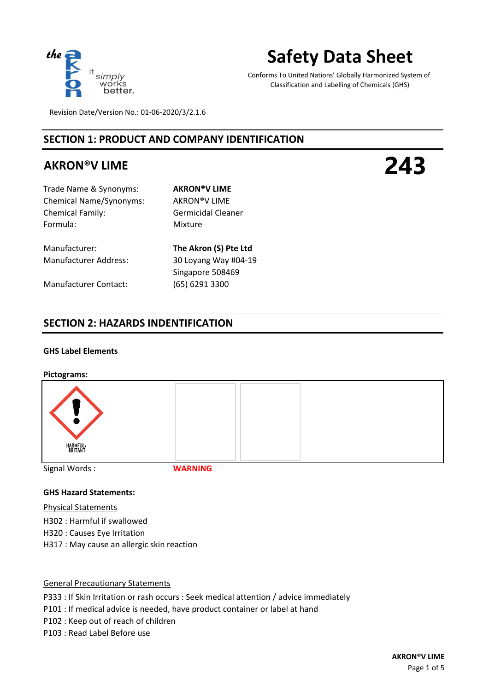

# **Safety Data Sheet**

Conforms To United Nations' Globally Harmonized System of Classification and Labelling of Chemicals (GHS)

Revision Date/Version No.: 01-06-2020/3/2.1.6

# **SECTION 1: PRODUCT AND COMPANY IDENTIFICATION**

# **AKRON®V LIME**

**243**

Trade Name & Synonyms: **AKRON®V LIME** Chemical Name/Synonyms: AKRON®V LIME Chemical Family: Germicidal Cleaner Formula: Mixture

Manufacturer: **The Akron (S) Pte Ltd**

Manufacturer Contact: (65) 6291 3300

Manufacturer Address: 30 Loyang Way #04-19 Singapore 508469

### **SECTION 2: HAZARDS INDENTIFICATION**

### **GHS Label Elements**

#### **Pictograms:**



Signal Words :

**WARNING**

### **GHS Hazard Statements:**

Physical Statements H302 : Harmful if swallowed H320 : Causes Eye Irritation H317 : May cause an allergic skin reaction

General Precautionary Statements P333 : If Skin Irritation or rash occurs : Seek medical attention / advice immediately P101 : If medical advice is needed, have product container or label at hand P102 : Keep out of reach of children P103 : Read Label Before use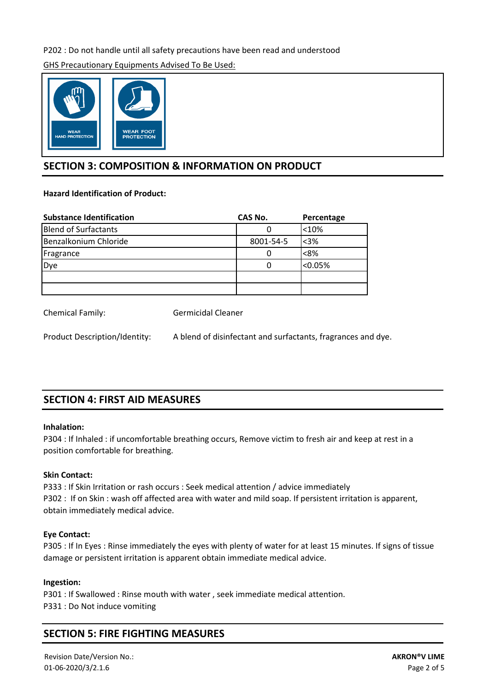### P202 : Do not handle until all safety precautions have been read and understood

GHS Precautionary Equipments Advised To Be Used:



### **SECTION 3: COMPOSITION & INFORMATION ON PRODUCT**

### **Hazard Identification of Product:**

| <b>Substance Identification</b> | CAS No.   | Percentage |
|---------------------------------|-----------|------------|
| <b>Blend of Surfactants</b>     |           | < 10%      |
| Benzalkonium Chloride           | 8001-54-5 | $3%$       |
| Fragrance                       | 0         | < 8%       |
| Dye                             | O         | < 0.05%    |
|                                 |           |            |
|                                 |           |            |

Chemical Family: Germicidal Cleaner

Product Description/Identity: A blend of disinfectant and surfactants, fragrances and dye.

# **SECTION 4: FIRST AID MEASURES**

### **Inhalation:**

P304 : If Inhaled : if uncomfortable breathing occurs, Remove victim to fresh air and keep at rest in a position comfortable for breathing.

### **Skin Contact:**

P333 : If Skin Irritation or rash occurs : Seek medical attention / advice immediately P302 : If on Skin : wash off affected area with water and mild soap. If persistent irritation is apparent, obtain immediately medical advice.

### **Eye Contact:**

P305 : If In Eyes : Rinse immediately the eyes with plenty of water for at least 15 minutes. If signs of tissue damage or persistent irritation is apparent obtain immediate medical advice.

### **Ingestion:**

P301 : If Swallowed : Rinse mouth with water , seek immediate medical attention. P331 : Do Not induce vomiting

# **SECTION 5: FIRE FIGHTING MEASURES**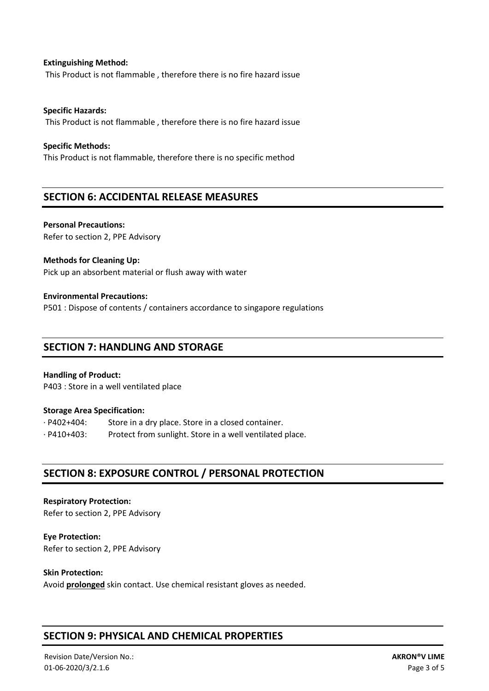**Extinguishing Method:** This Product is not flammable , therefore there is no fire hazard issue

**Specific Hazards:**  This Product is not flammable , therefore there is no fire hazard issue

### **Specific Methods:**

This Product is not flammable, therefore there is no specific method

### **SECTION 6: ACCIDENTAL RELEASE MEASURES**

**Personal Precautions:**  Refer to section 2, PPE Advisory

### **Methods for Cleaning Up:**

Pick up an absorbent material or flush away with water

### **Environmental Precautions:**

P501 : Dispose of contents / containers accordance to singapore regulations

### **SECTION 7: HANDLING AND STORAGE**

### **Handling of Product:**

P403 : Store in a well ventilated place

### **Storage Area Specification:**

· P402+404: Store in a dry place. Store in a closed container. · P410+403: Protect from sunlight. Store in a well ventilated place.

### **SECTION 8: EXPOSURE CONTROL / PERSONAL PROTECTION**

**Respiratory Protection:**  Refer to section 2, PPE Advisory

**Eye Protection:** Refer to section 2, PPE Advisory

### **Skin Protection:**

Avoid **prolonged** skin contact. Use chemical resistant gloves as needed.

# **SECTION 9: PHYSICAL AND CHEMICAL PROPERTIES**

Revision Date/Version No.: 01-06-2020/3/2.1.6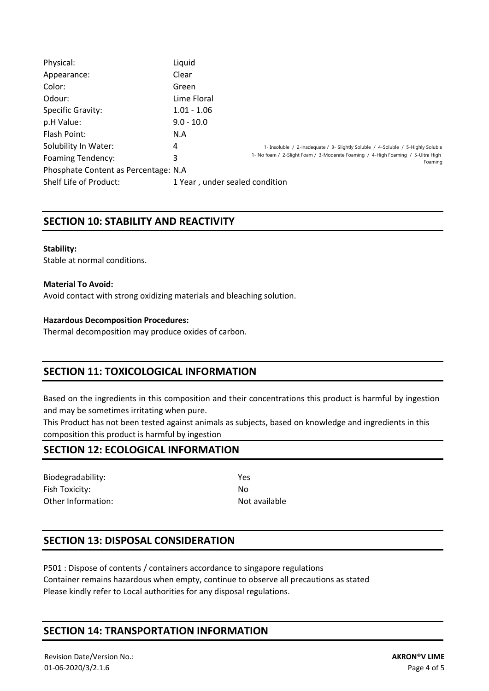| Physical:                             | Liquid        |                                                                                            |  |  |  |
|---------------------------------------|---------------|--------------------------------------------------------------------------------------------|--|--|--|
| Appearance:                           | Clear         |                                                                                            |  |  |  |
| Color:                                | Green         |                                                                                            |  |  |  |
| Odour:                                | Lime Floral   |                                                                                            |  |  |  |
| Specific Gravity:                     | $1.01 - 1.06$ |                                                                                            |  |  |  |
| p.H Value:                            | $9.0 - 10.0$  |                                                                                            |  |  |  |
| Flash Point:                          | N.A           |                                                                                            |  |  |  |
| Solubility In Water:                  | 4             | 1- Insoluble / 2-inadequate / 3- Slightly Soluble / 4-Soluble / 5-Highly Soluble           |  |  |  |
| <b>Foaming Tendency:</b>              | 3             | 1- No foam / 2-Slight Foam / 3-Moderate Foaming / 4-High Foaming / 5-Ultra High<br>Foaming |  |  |  |
| Phosphate Content as Percentage: N.A. |               |                                                                                            |  |  |  |
| Shelf Life of Product:                |               | 1 Year, under sealed condition                                                             |  |  |  |

### **SECTION 10: STABILITY AND REACTIVITY**

#### **Stability:**

Stable at normal conditions.

### **Material To Avoid:**

Avoid contact with strong oxidizing materials and bleaching solution.

### **Hazardous Decomposition Procedures:**

Thermal decomposition may produce oxides of carbon.

### **SECTION 11: TOXICOLOGICAL INFORMATION**

Based on the ingredients in this composition and their concentrations this product is harmful by ingestion and may be sometimes irritating when pure.

This Product has not been tested against animals as subjects, based on knowledge and ingredients in this composition this product is harmful by ingestion

### **SECTION 12: ECOLOGICAL INFORMATION**

Biodegradability: Yes Fish Toxicity: No Other Information: Not available

### **SECTION 13: DISPOSAL CONSIDERATION**

Container remains hazardous when empty, continue to observe all precautions as stated Please kindly refer to Local authorities for any disposal regulations. P501 : Dispose of contents / containers accordance to singapore regulations

### **SECTION 14: TRANSPORTATION INFORMATION**